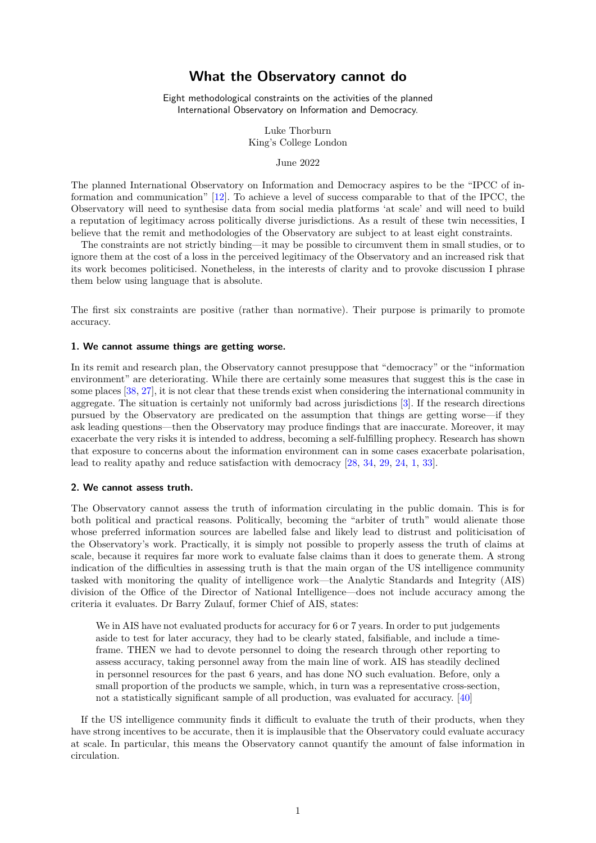# **What the Observatory cannot do**

Eight methodological constraints on the activities of the planned International Observatory on Information and Democracy.

> Luke Thorburn King's College London

> > June 2022

The planned International Observatory on Information and Democracy aspires to be the "IPCC of information and communication" [12]. To achieve a level of success comparable to that of the IPCC, the Observatory will need to synthesise data from social media platforms 'at scale' and will need to build a reputation of legitimacy across politically diverse jurisdictions. As a result of these twin necessities, I believe that the remit and methodologies of the Observatory are subject to at least eight constraints.

The constraints are not strictl[y b](#page-4-0)inding—it may be possible to circumvent them in small studies, or to ignore them at the cost of a loss in the perceived legitimacy of the Observatory and an increased risk that its work becomes politicised. Nonetheless, in the interests of clarity and to provoke discussion I phrase them below using language that is absolute.

The first six constraints are positive (rather than normative). Their purpose is primarily to promote accuracy.

# **1. We cannot assume things are getting worse.**

In its remit and research plan, the Observatory cannot presuppose that "democracy" or the "information environment" are deteriorating. While there are certainly some measures that suggest this is the case in some places [38, 27], it is not clear that these trends exist when considering the international community in aggregate. The situation is certainly not uniformly bad across jurisdictions [3]. If the research directions pursued by the Observatory are predicated on the assumption that things are getting worse—if they ask leading questions—then the Observatory may produce findings that are inaccurate. Moreover, it may exacerbate t[he](#page-5-0) [very](#page-4-1) risks it is intended to address, becoming a self-fulfilling prophecy. Research has shown that exposure to concerns about the information environment can in some c[as](#page-3-0)es exacerbate polarisation, lead to reality apathy and reduce satisfaction with democracy [28, 34, 29, 24, 1, 33].

#### **2. We cannot assess truth.**

The Observatory cannot assess the truth of information circu[lat](#page-4-2)i[ng](#page-5-1) i[n t](#page-4-3)[he](#page-4-4) [pu](#page-3-1)[blic](#page-5-2) domain. This is for both political and practical reasons. Politically, becoming the "arbiter of truth" would alienate those whose preferred information sources are labelled false and likely lead to distrust and politicisation of the Observatory's work. Practically, it is simply not possible to properly assess the truth of claims at scale, because it requires far more work to evaluate false claims than it does to generate them. A strong indication of the difficulties in assessing truth is that the main organ of the US intelligence community tasked with monitoring the quality of intelligence work—the Analytic Standards and Integrity (AIS) division of the Office of the Director of National Intelligence—does not include accuracy among the criteria it evaluates. Dr Barry Zulauf, former Chief of AIS, states:

We in AIS have not evaluated products for accuracy for 6 or 7 years. In order to put judgements aside to test for later accuracy, they had to be clearly stated, falsifiable, and include a timeframe. THEN we had to devote personnel to doing the research through other reporting to assess accuracy, taking personnel away from the main line of work. AIS has steadily declined in personnel resources for the past 6 years, and has done NO such evaluation. Before, only a small proportion of the products we sample, which, in turn was a representative cross-section, not a statistically significant sample of all production, was evaluated for accuracy. [40]

If the US intelligence community finds it difficult to evaluate the truth of their products, when they have strong incentives to be accurate, then it is implausible that the Observatory could evaluate accuracy at scale. In particular, this means the Observatory cannot quantify the amount of false [in](#page-5-3)formation in circulation.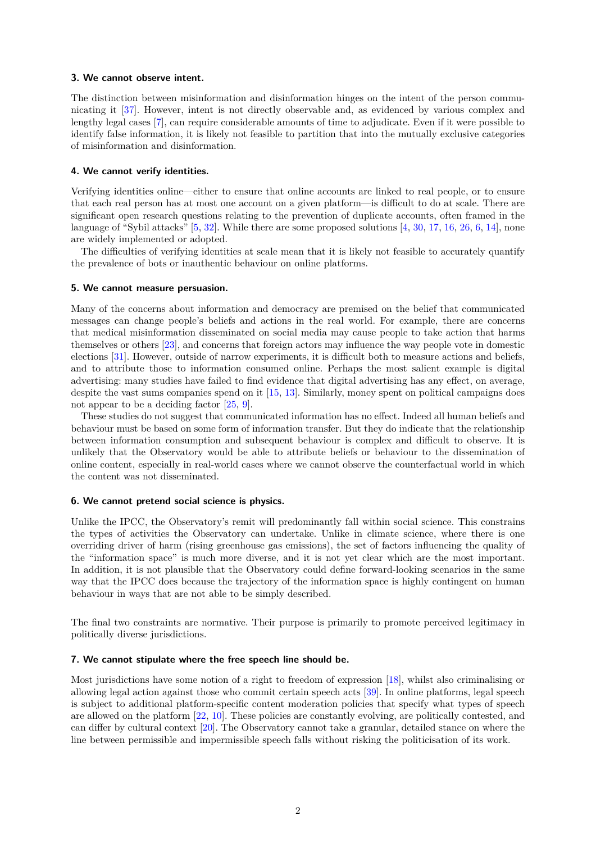#### **3. We cannot observe intent.**

The distinction between misinformation and disinformation hinges on the intent of the person communicating it [37]. However, intent is not directly observable and, as evidenced by various complex and lengthy legal cases [7], can require considerable amounts of time to adjudicate. Even if it were possible to identify false information, it is likely not feasible to partition that into the mutually exclusive categories of misinformation and disinformation.

# **4. We cannot verif[y](#page-3-2) identities.**

Verifying identities online—either to ensure that online accounts are linked to real people, or to ensure that each real person has at most one account on a given platform—is difficult to do at scale. There are significant open research questions relating to the prevention of duplicate accounts, often framed in the language of "Sybil attacks" [5, 32]. While there are some proposed solutions [4, 30, 17, 16, 26, 6, 14], none are widely implemented or adopted.

The difficulties of verifying identities at scale mean that it is likely not feasible to accurately quantify the prevalence of bots or inauthentic behaviour on online platforms.

# **5. We cannot measure persuasion.**

Many of the concerns about information and democracy are premised on the belief that communicated messages can change people's beliefs and actions in the real world. For example, there are concerns that medical misinformation disseminated on social media may cause people to take action that harms themselves or others [23], and concerns that foreign actors may influence the way people vote in domestic elections [31]. However, outside of narrow experiments, it is difficult both to measure actions and beliefs, and to attribute those to information consumed online. Perhaps the most salient example is digital advertising: many studies have failed to find evidence that digital advertising has any effect, on average, despite the vast sums [co](#page-4-5)mpanies spend on it [15, 13]. Similarly, money spent on political campaigns does not appe[ar t](#page-4-6)o be a deciding factor [25, 9].

These studies do not suggest that communicated information has no effect. Indeed all human beliefs and behaviour must be based on some form of information transfer. But they do indicate that the relationship between information consumption and subse[qu](#page-4-7)e[nt](#page-4-8) behaviour is complex and difficult to observe. It is unlikely that the Observatory wou[ld](#page-4-9) [be](#page-3-3) able to attribute beliefs or behaviour to the dissemination of online content, especially in real-world cases where we cannot observe the counterfactual world in which the content was not disseminated.

#### **6. We cannot pretend social science is physics.**

Unlike the IPCC, the Observatory's remit will predominantly fall within social science. This constrains the types of activities the Observatory can undertake. Unlike in climate science, where there is one overriding driver of harm (rising greenhouse gas emissions), the set of factors influencing the quality of the "information space" is much more diverse, and it is not yet clear which are the most important. In addition, it is not plausible that the Observatory could define forward-looking scenarios in the same way that the IPCC does because the trajectory of the information space is highly contingent on human behaviour in ways that are not able to be simply described.

The final two constraints are normative. Their purpose is primarily to promote perceived legitimacy in politically diverse jurisdictions.

# **7. We cannot stipulate where the free speech line should be.**

Most jurisdictions have some notion of a right to freedom of expression [18], whilst also criminalising or allowing legal action against those who commit certain speech acts [39]. In online platforms, legal speech is subject to additional platform-specific content moderation policies that specify what types of speech are allowed on the platform [22, 10]. These policies are constantly evolving, are politically contested, and can differ by cultural context [20]. The Observatory cannot take a granul[ar,](#page-4-10) detailed stance on where the line between permissible and impermissible speech falls without ris[king](#page-5-4) the politicisation of its work.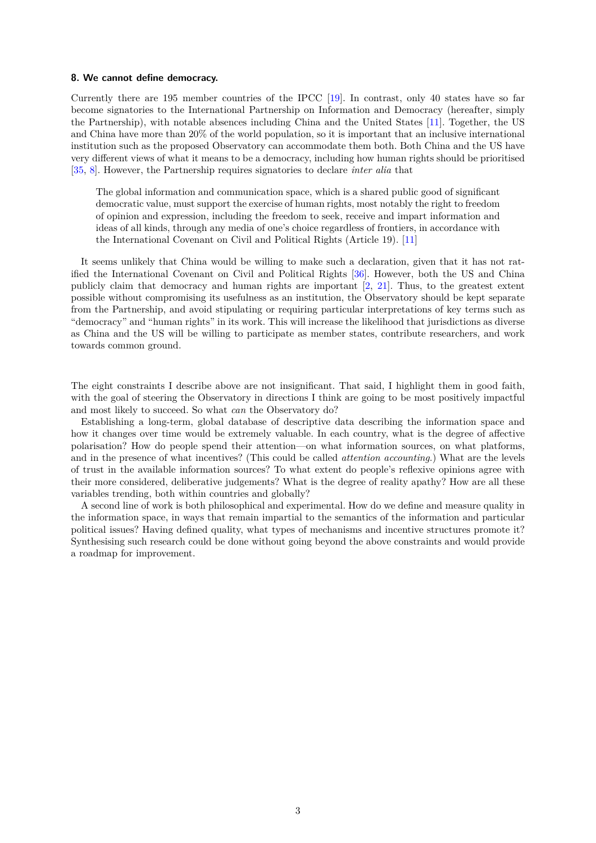# **8. We cannot define democracy.**

Currently there are 195 member countries of the IPCC [19]. In contrast, only 40 states have so far become signatories to the International Partnership on Information and Democracy (hereafter, simply the Partnership), with notable absences including China and the United States [11]. Together, the US and China have more than 20% of the world population, so it is important that an inclusive international institution such as the proposed Observatory can accommo[dat](#page-4-11)e them both. Both China and the US have very different views of what it means to be a democracy, including how human rights should be prioritised [35, 8]. However, the Partnership requires signatories to declare *inter alia* that

The global information and communication space, which is a shared public good of significant democratic value, must support the exercise of human rights, most notably the right to freedom of opinion and expression, including the freedom to seek, receive and impart information and ideas of all kinds, through any media of one's choice regardless of frontiers, in accordance with the International Covenant on Civil and Political Rights (Article 19). [11]

It seems unlikely that China would be willing to make such a declaration, given that it has not ratified the International Covenant on Civil and Political Rights [36]. However, both the US and China publicly claim that democracy and human rights are important [2, 21]. [Thu](#page-3-4)s, to the greatest extent possible without compromising its usefulness as an institution, the Observatory should be kept separate from the Partnership, and avoid stipulating or requiring particular interpretations of key terms such as "democracy" and "human rights" in its work. This will increase t[he l](#page-5-5)ikelihood that jurisdictions as diverse as China and the US will be willing to participate as member sta[te](#page-3-5)s, [co](#page-4-12)ntribute researchers, and work towards common ground.

The eight constraints I describe above are not insignificant. That said, I highlight them in good faith, with the goal of steering the Observatory in directions I think are going to be most positively impactful and most likely to succeed. So what *can* the Observatory do?

Establishing a long-term, global database of descriptive data describing the information space and how it changes over time would be extremely valuable. In each country, what is the degree of affective polarisation? How do people spend their attention—on what information sources, on what platforms, and in the presence of what incentives? (This could be called *attention accounting*.) What are the levels of trust in the available information sources? To what extent do people's reflexive opinions agree with their more considered, deliberative judgements? What is the degree of reality apathy? How are all these variables trending, both within countries and globally?

A second line of work is both philosophical and experimental. How do we define and measure quality in the information space, in ways that remain impartial to the semantics of the information and particular political issues? Having defined quality, what types of mechanisms and incentive structures promote it? Synthesising such research could be done without going beyond the above constraints and would provide a roadmap for improvement.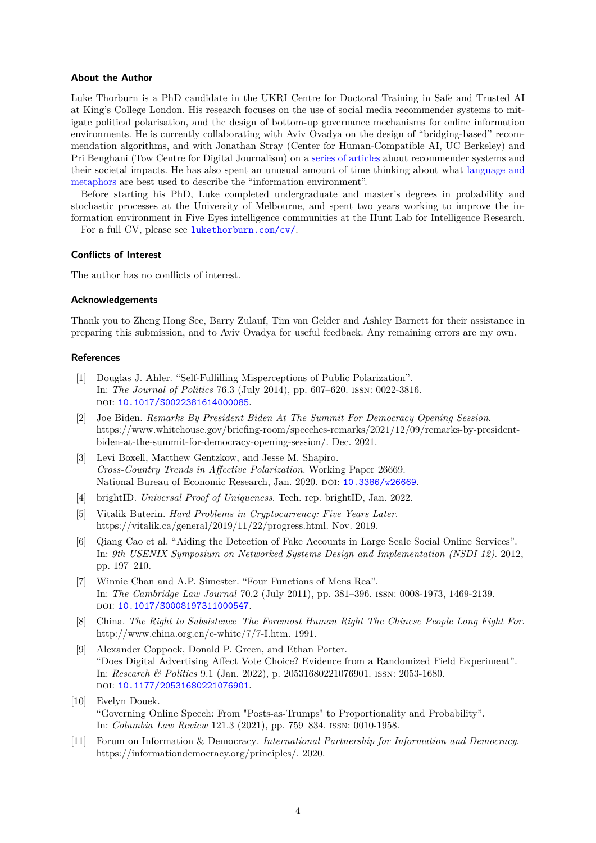# **About the Author**

Luke Thorburn is a PhD candidate in the UKRI Centre for Doctoral Training in Safe and Trusted AI at King's College London. His research focuses on the use of social media recommender systems to mitigate political polarisation, and the design of bottom-up governance mechanisms for online information environments. He is currently collaborating with Aviv Ovadya on the design of "bridging-based" recommendation algorithms, and with Jonathan Stray (Center for Human-Compatible AI, UC Berkeley) and Pri Benghani (Tow Centre for Digital Journalism) on a series of articles about recommender systems and their societal impacts. He has also spent an unusual amount of time thinking about what language and metaphors are best used to describe the "information environment".

Before starting his PhD, Luke completed undergraduate and master's degrees in probability and stochastic processes at the University of Melbourne, [and spent two y](https://medium.com/understanding-recommenders)ears working to improve the information environment in Five Eyes intelligence communities at the Hunt Lab for Intellige[nce Research.](https://lukethorburn.com/metaphor/)

[For a ful](https://lukethorburn.com/metaphor/)l CV, please see lukethorburn.com/cv/.

# **Conflicts of Interest**

The author has no conflicts [of interest.](lukethorburn.com/cv/)

# **Acknowledgements**

Thank you to Zheng Hong See, Barry Zulauf, Tim van Gelder and Ashley Barnett for their assistance in preparing this submission, and to Aviv Ovadya for useful feedback. Any remaining errors are my own.

# **References**

- [1] Douglas J. Ahler. "Self-Fulfilling Misperceptions of Public Polarization". In: *The Journal of Politics* 76.3 (July 2014), pp. 607–620. issn: 0022-3816. doi: 10.1017/S0022381614000085.
- <span id="page-3-1"></span>[2] Joe Biden. *Remarks By President Biden At The Summit For Democracy Opening Session*. https://www.whitehouse.gov/briefing-room/speeches-remarks/2021/12/09/remarks-by-presidentbiden-at-the-summit-for-democracy-opening-session/. Dec. 2021.
- <span id="page-3-5"></span>[3] Levi [Boxell, Matthew Gentzkow, an](https://doi.org/10.1017/S0022381614000085)d Jesse M. Shapiro. *Cross-Country Trends in Affective Polarization*. Working Paper 26669. National Bureau of Economic Research, Jan. 2020. DOI: 10.3386/w26669.
- <span id="page-3-0"></span>[4] brightID. *Universal Proof of Uniqueness*. Tech. rep. brightID, Jan. 2022.
- [5] Vitalik Buterin. *Hard Problems in Cryptocurrency: Five Years Later*. https://vitalik.ca/general/2019/11/22/progress.html. N[ov. 2019.](https://doi.org/10.3386/w26669)
- [6] Qiang Cao et al. "Aiding the Detection of Fake Accounts in Large Scale Social Online Services". In: *9th USENIX Symposium on Networked Systems Design and Implementation (NSDI 12)*. 2012, pp. 197–210.
- [7] Winnie Chan and A.P. Simester. "Four Functions of Mens Rea". In: *The Cambridge Law Journal* 70.2 (July 2011), pp. 381–396. issn: 0008-1973, 1469-2139. doi: 10.1017/S0008197311000547.
- <span id="page-3-2"></span>[8] China. *The Right to Subsistence–The Foremost Human Right The Chinese People Long Fight For*. http://www.china.org.cn/e-white/7/7-I.htm. 1991.
- [9] Alex[ander Coppock, Donald P. Gre](https://doi.org/10.1017/S0008197311000547)en, and Ethan Porter. "Does Digital Advertising Affect Vote Choice? Evidence from a Randomized Field Experiment". In: *Research & Politics* 9.1 (Jan. 2022), p. 20531680221076901. issn: 2053-1680. doi: 10.1177/20531680221076901.
- <span id="page-3-3"></span>[10] Evelyn Douek. "Governing Online Speech: From "Posts-as-Trumps" to Proportionality and Probability". In: *Columbia Law Review* 121.3 (2021), pp. 759–834. issn: 0010-1958.
- <span id="page-3-4"></span>[11] Foru[m on Information & Democrac](https://doi.org/10.1177/20531680221076901)y. *International Partnership for Information and Democracy*. https://informationdemocracy.org/principles/. 2020.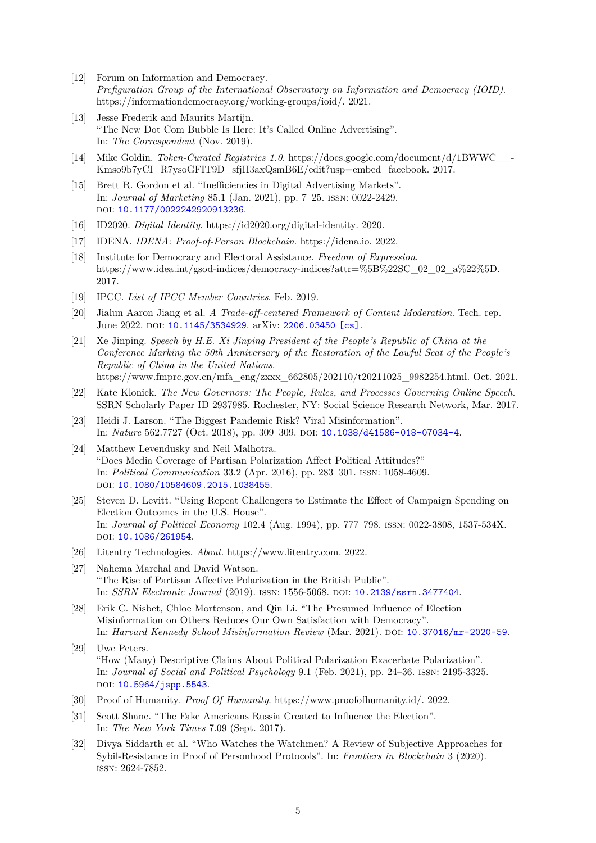- [12] Forum on Information and Democracy. *Prefiguration Group of the International Observatory on Information and Democracy (IOID)*. https://informationdemocracy.org/working-groups/ioid/. 2021.
- <span id="page-4-0"></span>[13] Jesse Frederik and Maurits Martijn. "The New Dot Com Bubble Is Here: It's Called Online Advertising". In: *The Correspondent* (Nov. 2019).
- <span id="page-4-8"></span>[14] Mike Goldin. *Token-Curated Registries 1.0*. https://docs.google.com/document/d/1BWWC\_\_- Kmso9b7yCI\_R7ysoGFIT9D\_sfjH3axQsmB6E/edit?usp=embed\_facebook. 2017.
- [15] Brett R. Gordon et al. "Inefficiencies in Digital Advertising Markets". In: *Journal of Marketing* 85.1 (Jan. 2021), pp. 7–25. issn: 0022-2429. doi: 10.1177/0022242920913236.
- <span id="page-4-7"></span>[16] ID2020. *Digital Identity*. https://id2020.org/digital-identity. 2020.
- [17] IDENA. *IDENA: Proof-of-Person Blockchain*. https://idena.io. 2022.
- [18] Insti[tute for Democracy and Elect](https://doi.org/10.1177/0022242920913236)oral Assistance. *Freedom of Expression*. https://www.idea.int/gsod-indices/democracy-indices?attr=%5B%22SC\_02\_02\_a%22%5D. 2017.
- [19] IPCC. *List of IPCC Member Countries*. Feb. 2019.
- <span id="page-4-10"></span>[20] Jialun Aaron Jiang et al. *A Trade-off-centered Framework of Content Moderation*. Tech. rep. June 2022. DOI: 10.1145/3534929. arXiv: 2206.03450 [cs].
- <span id="page-4-11"></span>[21] Xe Jinping. *Speech by H.E. Xi Jinping President of the People's Republic of China at the Conference Marking the 50th Anniversary of the Restoration of the Lawful Seat of the People's Republic of China in the United Nations*. https://www.fm[prc.gov.cn/mfa\\_en](https://doi.org/10.1145/3534929)g/zxxx[\\_662805/202110/t](https://arxiv.org/abs/2206.03450)20211025\_9982254.html. Oct. 2021.
- <span id="page-4-12"></span>[22] Kate Klonick. *The New Governors: The People, Rules, and Processes Governing Online Speech*. SSRN Scholarly Paper ID 2937985. Rochester, NY: Social Science Research Network, Mar. 2017.
- [23] Heidi J. Larson. "The Biggest Pandemic Risk? Viral Misinformation". In: *Nature* 562.7727 (Oct. 2018), pp. 309–309. doi: 10.1038/d41586-018-07034-4.
- <span id="page-4-5"></span>[24] Matthew Levendusky and Neil Malhotra. "Does Media Coverage of Partisan Polarization Affect Political Attitudes?" In: *Political Communication* 33.2 (Apr. 2016), pp. 283–301. issn: 1058-4609. doi: 10.1080/10584609.2015.1038455.
- <span id="page-4-4"></span>[25] Steven D. Levitt. "Using Repeat Challengers to Estimate the Effect of Campaign Spending on Election Outcomes in the U.S. House". In: *Journal of Political Economy* 102.4 (Aug. 1994), pp. 777–798. issn: 0022-3808, 1537-534X. DOI: [10.1086/261954](https://doi.org/10.1080/10584609.2015.1038455).
- <span id="page-4-9"></span>[26] Litentry Technologies. *About*. https://www.litentry.com. 2022.
- [27] Nahema Marchal and David Watson. "Th[e Rise of Partisan](https://doi.org/10.1086/261954) Affective Polarization in the British Public". In: *SSRN Electronic Journal* (2019). issn: 1556-5068. doi: 10.2139/ssrn.3477404.
- <span id="page-4-1"></span>[28] Erik C. Nisbet, Chloe Mortenson, and Qin Li. "The Presumed Influence of Election Misinformation on Others Reduces Our Own Satisfaction with Democracy". In: *Harvard Kennedy School Misinformation Review* (Mar. 2021). doi: 10.37016/mr-2020-59.
- <span id="page-4-2"></span>[29] Uwe Peters. "How (Many) Descriptive Claims About Political Polarization Exacerbate Polarization". In: *Journal of Social and Political Psychology* 9.1 (Feb. 2021), pp. 24–36. issn: 2195-3325. DOI: 10.5964/jspp.5543.
- <span id="page-4-3"></span>[30] Proof of Humanity. *Proof Of Humanity*. https://www.proofofhumanity.id/. 2022.
- [31] Scott Shane. "The Fake Americans Russia Created to Influence the Election". In: *[The New York Times](https://doi.org/10.5964/jspp.5543)* 7.09 (Sept. 2017).
- <span id="page-4-6"></span>[32] Divya Siddarth et al. "Who Watches the Watchmen? A Review of Subjective Approaches for Sybil-Resistance in Proof of Personhood Protocols". In: *Frontiers in Blockchain* 3 (2020). issn: 2624-7852.